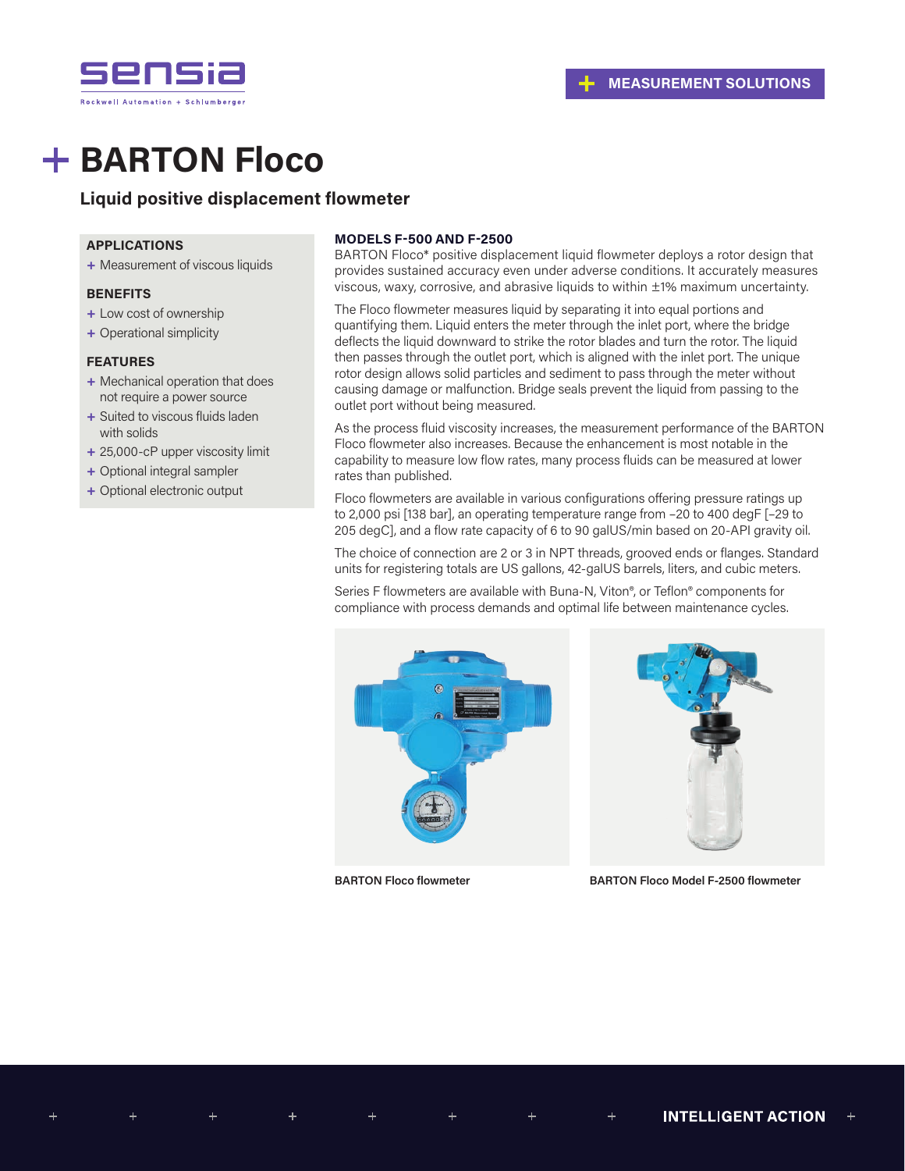

# **+ BARTON Floco**

## **Liquid positive displacement flowmeter**

### **APPLICATIONS**

**+** Measurement of viscous liquids

#### **BENEFITS**

- **+** Low cost of ownership
- **+** Operational simplicity

## **FEATURES**

- **+** Mechanical operation that does not require a power source
- **+** Suited to viscous fluids laden with solids
- **+** 25,000-cP upper viscosity limit
- **+** Optional integral sampler
- **+** Optional electronic output

### **MODELS F-500 AND F-2500**

BARTON Floco\* positive displacement liquid flowmeter deploys a rotor design that provides sustained accuracy even under adverse conditions. It accurately measures viscous, waxy, corrosive, and abrasive liquids to within ±1% maximum uncertainty.

The Floco flowmeter measures liquid by separating it into equal portions and quantifying them. Liquid enters the meter through the inlet port, where the bridge deflects the liquid downward to strike the rotor blades and turn the rotor. The liquid then passes through the outlet port, which is aligned with the inlet port. The unique rotor design allows solid particles and sediment to pass through the meter without causing damage or malfunction. Bridge seals prevent the liquid from passing to the outlet port without being measured.

As the process fluid viscosity increases, the measurement performance of the BARTON Floco flowmeter also increases. Because the enhancement is most notable in the capability to measure low flow rates, many process fluids can be measured at lower rates than published.

Floco flowmeters are available in various configurations offering pressure ratings up to 2,000 psi [138 bar], an operating temperature range from –20 to 400 degF [–29 to 205 degC], and a flow rate capacity of 6 to 90 galUS/min based on 20-API gravity oil.

The choice of connection are 2 or 3 in NPT threads, grooved ends or flanges. Standard units for registering totals are US gallons, 42-galUS barrels, liters, and cubic meters.

Series F flowmeters are available with Buna-N, Viton®, or Teflon® components for compliance with process demands and optimal life between maintenance cycles.





**BARTON Floco flowmeter BARTON Floco Model F-2500 flowmeter**

 $\,{}^+$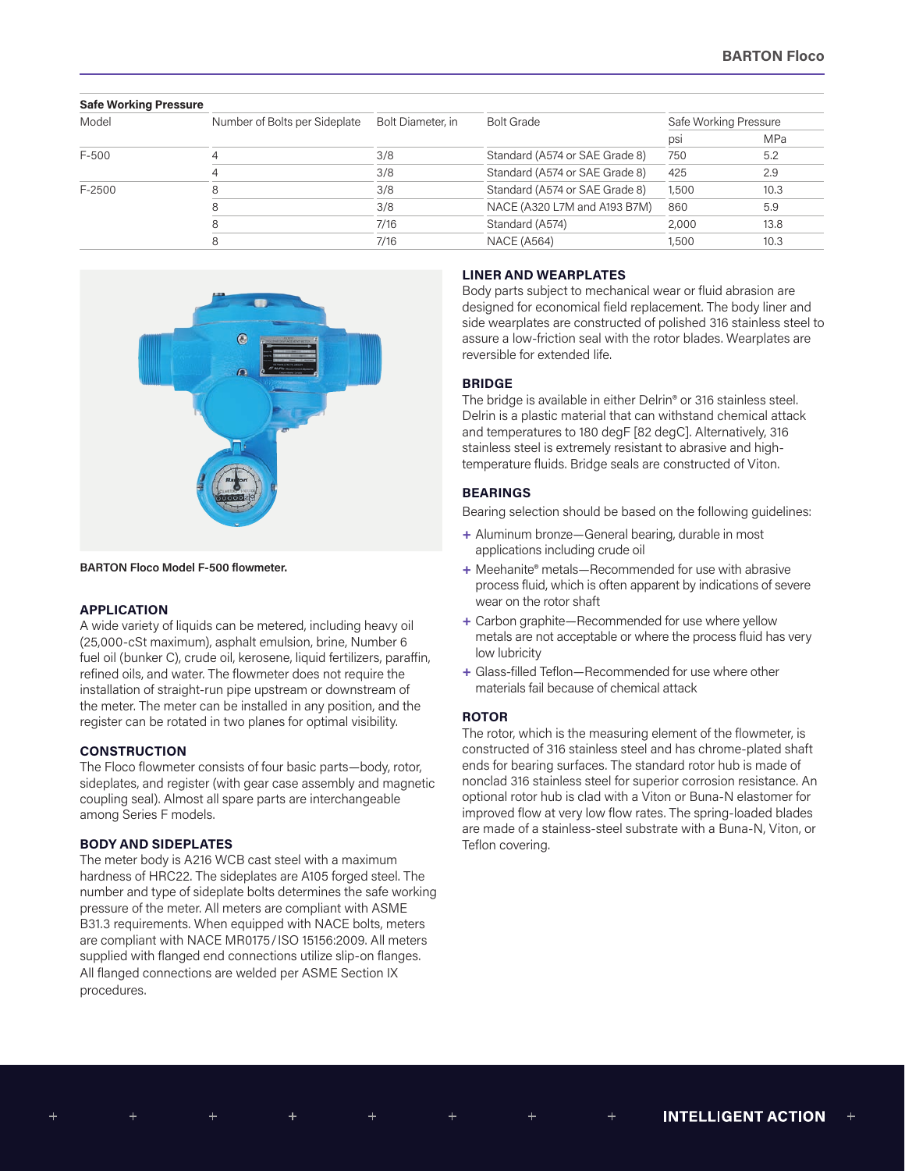| <b>Safe Working Pressure</b> |                               |                   |                                |                       |            |
|------------------------------|-------------------------------|-------------------|--------------------------------|-----------------------|------------|
| Model                        | Number of Bolts per Sideplate | Bolt Diameter, in | <b>Bolt Grade</b>              | Safe Working Pressure |            |
|                              |                               |                   |                                | psi                   | <b>MPa</b> |
| $F-500$                      |                               | 3/8               | Standard (A574 or SAE Grade 8) | 750                   | 5.2        |
|                              |                               | 3/8               | Standard (A574 or SAE Grade 8) | 425                   | 2.9        |
| F-2500                       |                               | 3/8               | Standard (A574 or SAE Grade 8) | 1,500                 | 10.3       |
|                              |                               | 3/8               | NACE (A320 L7M and A193 B7M)   | 860                   | 5.9        |
|                              |                               | 7/16              | Standard (A574)                | 2,000                 | 13.8       |
|                              |                               | 7/16              | <b>NACE (A564)</b>             | 1,500                 | 10.3       |



**BARTON Floco Model F-500 flowmeter.**

## **APPLICATION**

A wide variety of liquids can be metered, including heavy oil (25,000-cSt maximum), asphalt emulsion, brine, Number 6 fuel oil (bunker C), crude oil, kerosene, liquid fertilizers, paraffin, refined oils, and water. The flowmeter does not require the installation of straight-run pipe upstream or downstream of the meter. The meter can be installed in any position, and the register can be rotated in two planes for optimal visibility.

#### **CONSTRUCTION**

The Floco flowmeter consists of four basic parts—body, rotor, sideplates, and register (with gear case assembly and magnetic coupling seal). Almost all spare parts are interchangeable among Series F models.

#### **BODY AND SIDEPLATES**

The meter body is A216 WCB cast steel with a maximum hardness of HRC22. The sideplates are A105 forged steel. The number and type of sideplate bolts determines the safe working pressure of the meter. All meters are compliant with ASME B31.3 requirements. When equipped with NACE bolts, meters are compliant with NACE MR0175/ISO 15156:2009. All meters supplied with flanged end connections utilize slip-on flanges. All flanged connections are welded per ASME Section IX procedures.

#### **LINER AND WEARPLATES**

Body parts subject to mechanical wear or fluid abrasion are designed for economical field replacement. The body liner and side wearplates are constructed of polished 316 stainless steel to assure a low-friction seal with the rotor blades. Wearplates are reversible for extended life.

#### **BRIDGE**

The bridge is available in either Delrin® or 316 stainless steel. Delrin is a plastic material that can withstand chemical attack and temperatures to 180 degF [82 degC]. Alternatively, 316 stainless steel is extremely resistant to abrasive and hightemperature fluids. Bridge seals are constructed of Viton.

#### **BEARINGS**

Bearing selection should be based on the following guidelines:

- **+** Aluminum bronze—General bearing, durable in most applications including crude oil
- **+** Meehanite® metals—Recommended for use with abrasive process fluid, which is often apparent by indications of severe wear on the rotor shaft
- **+** Carbon graphite—Recommended for use where yellow metals are not acceptable or where the process fluid has very low lubricity
- **+** Glass-filled Teflon—Recommended for use where other materials fail because of chemical attack

#### **ROTOR**

The rotor, which is the measuring element of the flowmeter, is constructed of 316 stainless steel and has chrome-plated shaft ends for bearing surfaces. The standard rotor hub is made of nonclad 316 stainless steel for superior corrosion resistance. An optional rotor hub is clad with a Viton or Buna-N elastomer for improved flow at very low flow rates. The spring-loaded blades are made of a stainless-steel substrate with a Buna-N, Viton, or Teflon covering.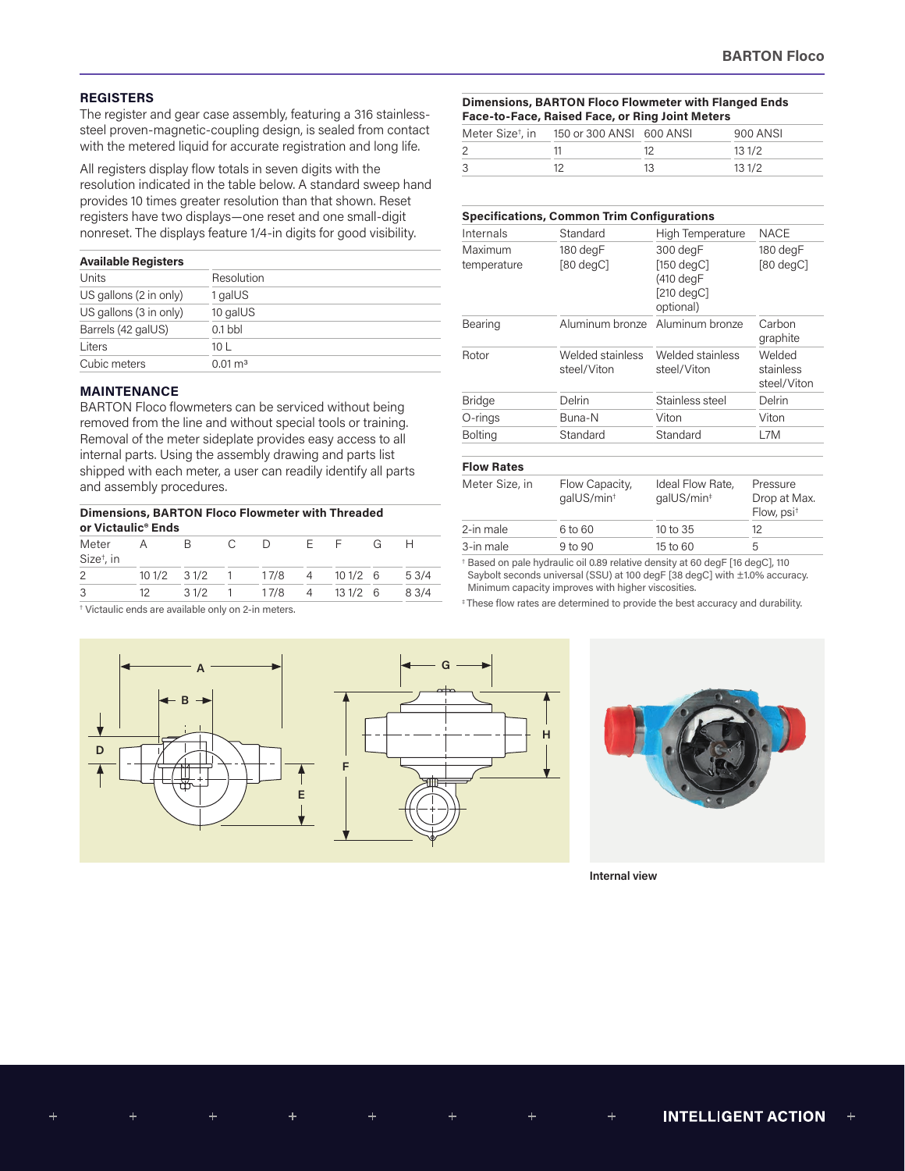## **REGISTERS**

The register and gear case assembly, featuring a 316 stainlesssteel proven-magnetic-coupling design, is sealed from contact with the metered liquid for accurate registration and long life.

All registers display flow totals in seven digits with the resolution indicated in the table below. A standard sweep hand provides 10 times greater resolution than that shown. Reset registers have two displays—one reset and one small-digit nonreset. The displays feature 1/4-in digits for good visibility.

#### **Available Registers**

| Resolution            |
|-----------------------|
| 1 galUS               |
| 10 galUS              |
| $0.1$ bbl             |
| 10 L                  |
| $0.01 \,\mathrm{m}^3$ |
|                       |

## **MAINTENANCE**

BARTON Floco flowmeters can be serviced without being removed from the line and without special tools or training. Removal of the meter sideplate provides easy access to all internal parts. Using the assembly drawing and parts list shipped with each meter, a user can readily identify all parts and assembly procedures.

|                                 | Dimensions, BARTON Floco Flowmeter with Threaded<br>or Victaulic <sup>®</sup> Ends |                |  |                                |  |  |   |      |
|---------------------------------|------------------------------------------------------------------------------------|----------------|--|--------------------------------|--|--|---|------|
| Meter<br>Size <sup>t</sup> , in | A                                                                                  | $\overline{B}$ |  | C D F F                        |  |  | G |      |
| 2                               |                                                                                    |                |  | 10 1/2 3 1/2 1 17/8 4 10 1/2 6 |  |  |   | 53/4 |
| 3                               | 12                                                                                 |                |  | 3 1/2 1 17/8 4 13 1/2 6        |  |  |   | 83/4 |

† Victaulic ends are available only on 2-in meters.





**Internal view**

| <b>Dimensions, BARTON Floco Flowmeter with Flanged Ends</b> |                          |                                                 |          |  |  |
|-------------------------------------------------------------|--------------------------|-------------------------------------------------|----------|--|--|
|                                                             |                          | Face-to-Face, Raised Face, or Ring Joint Meters |          |  |  |
| Meter Size <sup>t</sup> , in                                | 150 or 300 ANSI 600 ANSI |                                                 | 900 ANSI |  |  |

|   | Meter Size', in 190 or 300 ANSI 600 ANSI | <b>YUU AINSI</b> |
|---|------------------------------------------|------------------|
| 2 |                                          | 131/2            |
| 3 |                                          | 131/2            |
|   |                                          |                  |

#### **Specifications, Common Trim Configurations**

| Standard<br>Internals  |                                          | High Temperature                                                         | <b>NACE</b>                                        |
|------------------------|------------------------------------------|--------------------------------------------------------------------------|----------------------------------------------------|
| Maximum<br>temperature | 180 degF<br>$[80 \text{ degC}]$          | 300 degF<br>$[150 \text{ degC}]$<br>(410 degF<br>[210 degC]<br>optional) | 180 degF<br>$[80 \text{ degC}]$                    |
| Bearing                | Aluminum bronze                          | Aluminum bronze                                                          | Carbon<br>graphite                                 |
| Rotor                  | Welded stainless<br>steel/Viton          | Welded stainless<br>steel/Viton                                          | Welded<br>stainless<br>steel/Viton                 |
| <b>Bridge</b>          | Delrin                                   | Stainless steel                                                          | Delrin                                             |
| O-rings                | Buna-N                                   | Viton                                                                    | Viton                                              |
| <b>Bolting</b>         | Standard                                 | Standard                                                                 | L7M                                                |
| <b>Flow Rates</b>      |                                          |                                                                          |                                                    |
| Meter Size, in         | Flow Capacity,<br>qalUS/min <sup>+</sup> | Ideal Flow Rate,<br>galUS/min <sup>#</sup>                               | Pressure<br>Drop at Max.<br>Flow, psi <sup>+</sup> |

3-in male 9 to 90 15 to 60 5 † Based on pale hydraulic oil 0.89 relative density at 60 degF [16 degC], 110 Saybolt seconds universal (SSU) at 100 degF [38 degC] with ±1.0% accuracy. Minimum capacity improves with higher viscosities.

2-in male 6 to 60 10 to 35 12

‡ These flow rates are determined to provide the best accuracy and durability.

 $\pm$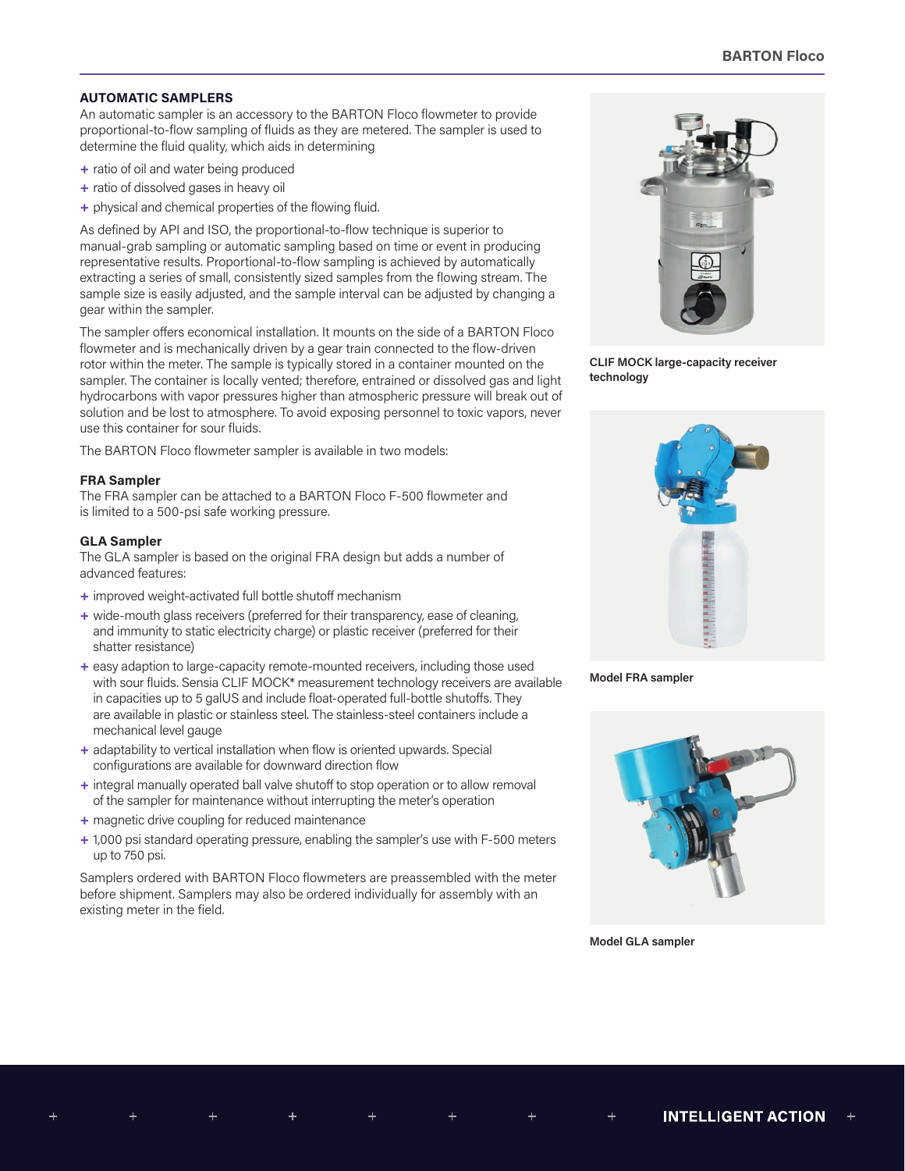## **AUTOMATIC SAMPLERS**

An automatic sampler is an accessory to the BARTON Floco flowmeter to provide proportional-to-flow sampling of fluids as they are metered. The sampler is used to determine the fluid quality, which aids in determining

- **+** ratio of oil and water being produced
- **+** ratio of dissolved gases in heavy oil
- **+** physical and chemical properties of the flowing fluid.

As defined by API and ISO, the proportional-to-flow technique is superior to manual-grab sampling or automatic sampling based on time or event in producing representative results. Proportional-to-flow sampling is achieved by automatically extracting a series of small, consistently sized samples from the flowing stream. The sample size is easily adjusted, and the sample interval can be adjusted by changing a gear within the sampler.

The sampler offers economical installation. It mounts on the side of a BARTON Floco flowmeter and is mechanically driven by a gear train connected to the flow-driven rotor within the meter. The sample is typically stored in a container mounted on the sampler. The container is locally vented; therefore, entrained or dissolved gas and light hydrocarbons with vapor pressures higher than atmospheric pressure will break out of solution and be lost to atmosphere. To avoid exposing personnel to toxic vapors, never use this container for sour fluids.

The BARTON Floco flowmeter sampler is available in two models:

### **FRA Sampler**

The FRA sampler can be attached to a BARTON Floco F-500 flowmeter and is limited to a 500-psi safe working pressure.

### **GLA Sampler**

The GLA sampler is based on the original FRA design but adds a number of advanced features:

- **+** improved weight-activated full bottle shutoff mechanism
- **+** wide-mouth glass receivers (preferred for their transparency, ease of cleaning, and immunity to static electricity charge) or plastic receiver (preferred for their shatter resistance)
- **+** easy adaption to large-capacity remote-mounted receivers, including those used with sour fluids. Sensia CLIF MOCK\* measurement technology receivers are available in capacities up to 5 galUS and include float-operated full-bottle shutoffs. They are available in plastic or stainless steel. The stainless-steel containers include a mechanical level gauge
- **+** adaptability to vertical installation when flow is oriented upwards. Special configurations are available for downward direction flow
- **+** integral manually operated ball valve shutoff to stop operation or to allow removal of the sampler for maintenance without interrupting the meter's operation
- **+** magnetic drive coupling for reduced maintenance
- **+** 1,000 psi standard operating pressure, enabling the sampler's use with F-500 meters up to 750 psi.

Samplers ordered with BARTON Floco flowmeters are preassembled with the meter before shipment. Samplers may also be ordered individually for assembly with an existing meter in the field.



**CLIF MOCK large-capacity receiver technology**



**Model FRA sampler**



**Model GLA sampler**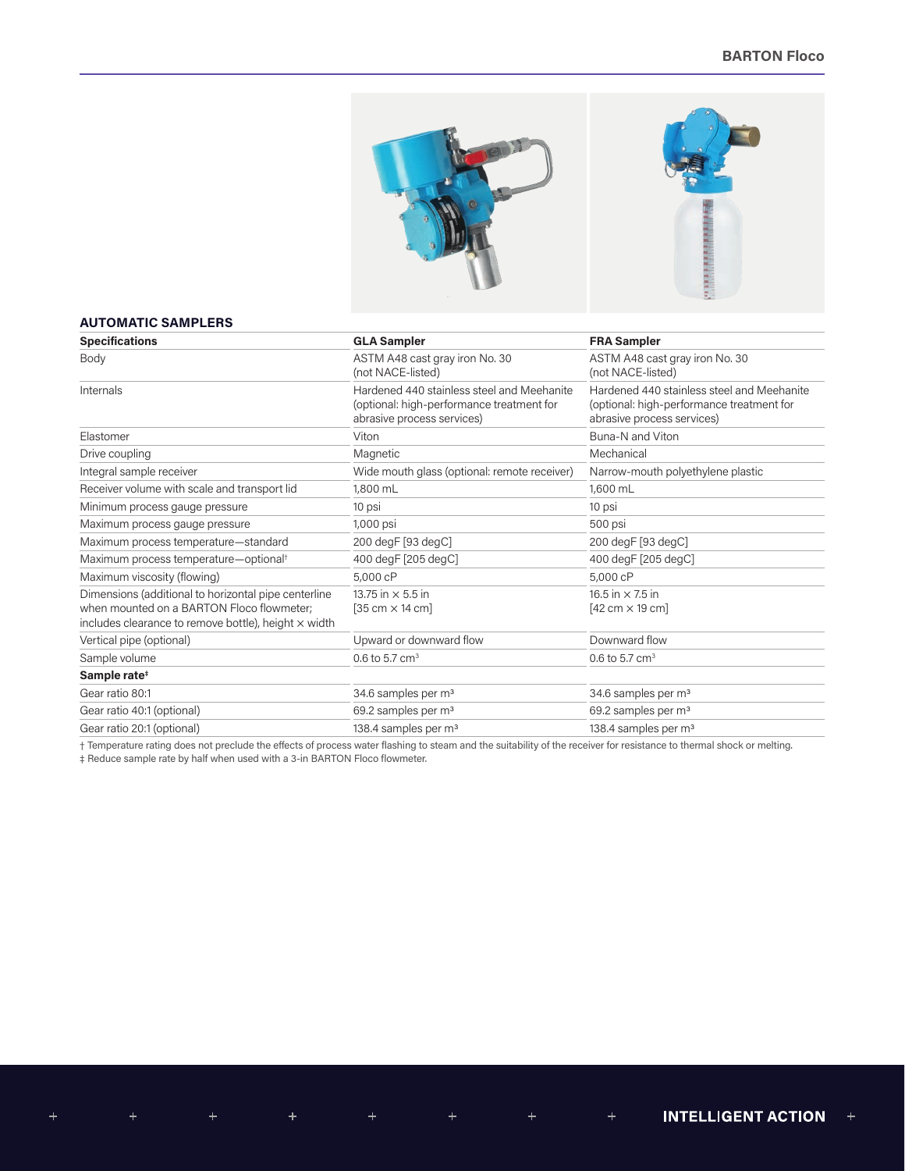



## **AUTOMATIC SAMPLERS**

 $\ddot{}$ 

| <b>Specifications</b>                                                                                                                                            | <b>GLA Sampler</b>                                                                                                    | <b>FRA Sampler</b>                                                                                                    |
|------------------------------------------------------------------------------------------------------------------------------------------------------------------|-----------------------------------------------------------------------------------------------------------------------|-----------------------------------------------------------------------------------------------------------------------|
| Body                                                                                                                                                             | ASTM A48 cast gray iron No. 30<br>(not NACE-listed)                                                                   | ASTM A48 cast gray iron No. 30<br>(not NACE-listed)                                                                   |
| Internals                                                                                                                                                        | Hardened 440 stainless steel and Meehanite<br>(optional: high-performance treatment for<br>abrasive process services) | Hardened 440 stainless steel and Meehanite<br>(optional: high-performance treatment for<br>abrasive process services) |
| Elastomer                                                                                                                                                        | Viton                                                                                                                 | Buna-N and Viton                                                                                                      |
| Drive coupling                                                                                                                                                   | Magnetic                                                                                                              | Mechanical                                                                                                            |
| Integral sample receiver                                                                                                                                         | Wide mouth glass (optional: remote receiver)                                                                          | Narrow-mouth polyethylene plastic                                                                                     |
| Receiver volume with scale and transport lid                                                                                                                     | 1,800 mL                                                                                                              | 1,600 mL                                                                                                              |
| Minimum process gauge pressure                                                                                                                                   | 10 psi                                                                                                                | 10 psi                                                                                                                |
| Maximum process gauge pressure                                                                                                                                   | 1,000 psi                                                                                                             | 500 psi                                                                                                               |
| Maximum process temperature-standard                                                                                                                             | 200 degF [93 degC]                                                                                                    | 200 degF [93 degC]                                                                                                    |
| Maximum process temperature-optional <sup>+</sup>                                                                                                                | 400 degF [205 degC]                                                                                                   | 400 degF [205 degC]                                                                                                   |
| Maximum viscosity (flowing)                                                                                                                                      | 5,000 cP                                                                                                              | 5,000 cP                                                                                                              |
| Dimensions (additional to horizontal pipe centerline<br>when mounted on a BARTON Floco flowmeter;<br>includes clearance to remove bottle), height $\times$ width | 13.75 in $\times$ 5.5 in<br>$[35 \text{ cm} \times 14 \text{ cm}]$                                                    | 16.5 in $\times$ 7.5 in<br>$[42 \text{ cm} \times 19 \text{ cm}]$                                                     |
| Vertical pipe (optional)                                                                                                                                         | Upward or downward flow                                                                                               | Downward flow                                                                                                         |
| Sample volume                                                                                                                                                    | 0.6 to 5.7 $cm3$                                                                                                      | 0.6 to 5.7 $cm3$                                                                                                      |
| Sample rate <sup>#</sup>                                                                                                                                         |                                                                                                                       |                                                                                                                       |
| Gear ratio 80:1                                                                                                                                                  | 34.6 samples per m <sup>3</sup>                                                                                       | 34.6 samples per m <sup>3</sup>                                                                                       |
| Gear ratio 40:1 (optional)                                                                                                                                       | 69.2 samples per m <sup>3</sup>                                                                                       | 69.2 samples per m <sup>3</sup>                                                                                       |
| Gear ratio 20:1 (optional)                                                                                                                                       | 138.4 samples per m <sup>3</sup>                                                                                      | 138.4 samples per m <sup>3</sup>                                                                                      |

† Temperature rating does not preclude the effects of process water flashing to steam and the suitability of the receiver for resistance to thermal shock or melting. ‡ Reduce sample rate by half when used with a 3-in BARTON Floco flowmeter.

INTELLIGENT ACTION +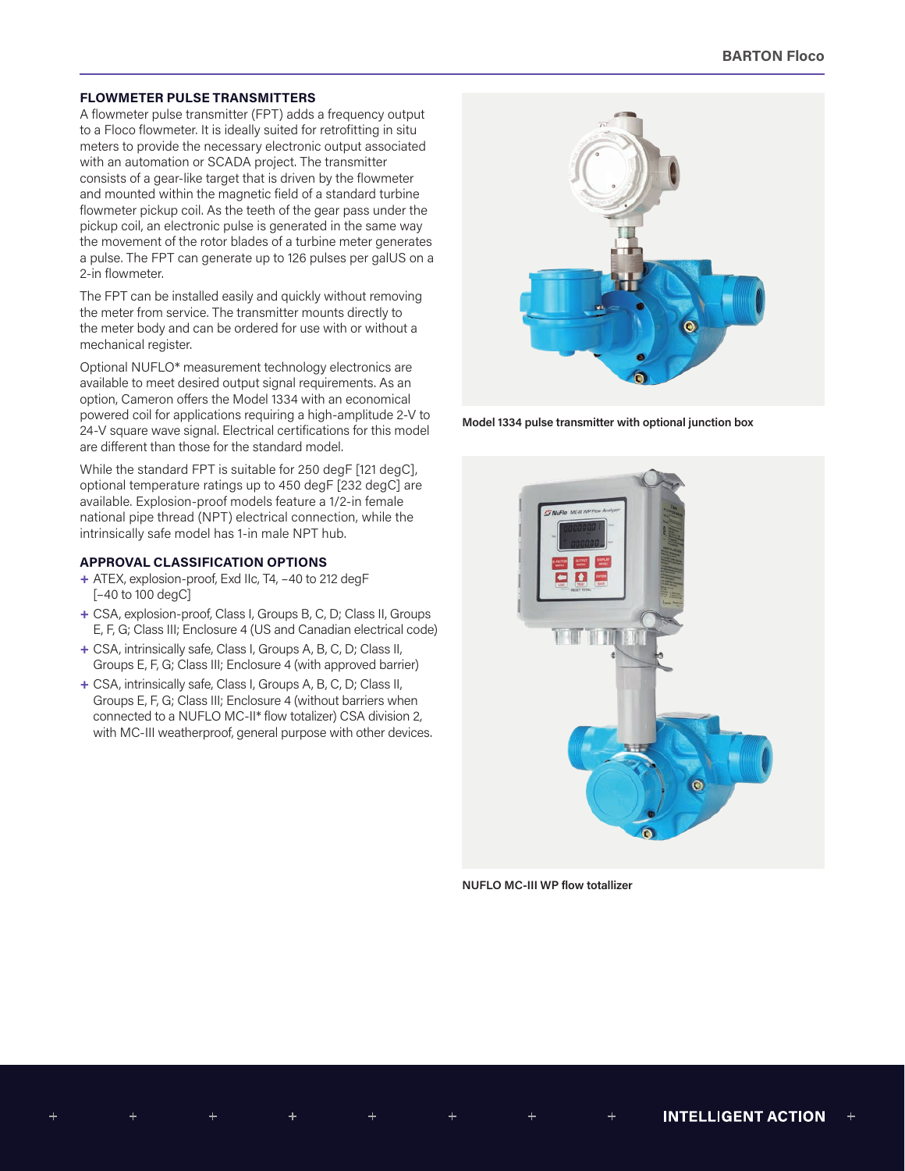## **FLOWMETER PULSE TRANSMITTERS**

A flowmeter pulse transmitter (FPT) adds a frequency output to a Floco flowmeter. It is ideally suited for retrofitting in situ meters to provide the necessary electronic output associated with an automation or SCADA project. The transmitter consists of a gear-like target that is driven by the flowmeter and mounted within the magnetic field of a standard turbine flowmeter pickup coil. As the teeth of the gear pass under the pickup coil, an electronic pulse is generated in the same way the movement of the rotor blades of a turbine meter generates a pulse. The FPT can generate up to 126 pulses per galUS on a 2-in flowmeter.

The FPT can be installed easily and quickly without removing the meter from service. The transmitter mounts directly to the meter body and can be ordered for use with or without a mechanical register.

Optional NUFLO\* measurement technology electronics are available to meet desired output signal requirements. As an option, Cameron offers the Model 1334 with an economical powered coil for applications requiring a high-amplitude 2-V to 24-V square wave signal. Electrical certifications for this model are different than those for the standard model.

While the standard FPT is suitable for 250 degF [121 degC], optional temperature ratings up to 450 degF [232 degC] are available. Explosion-proof models feature a 1/2-in female national pipe thread (NPT) electrical connection, while the intrinsically safe model has 1-in male NPT hub.

#### **APPROVAL CLASSIFICATION OPTIONS**

- **+** ATEX, explosion-proof, Exd IIc, T4, –40 to 212 degF [–40 to 100 degC]
- **+** CSA, explosion-proof, Class I, Groups B, C, D; Class II, Groups E, F, G; Class III; Enclosure 4 (US and Canadian electrical code)
- **+** CSA, intrinsically safe, Class I, Groups A, B, C, D; Class II, Groups E, F, G; Class III; Enclosure 4 (with approved barrier)
- **+** CSA, intrinsically safe, Class I, Groups A, B, C, D; Class II, Groups E, F, G; Class III; Enclosure 4 (without barriers when connected to a NUFLO MC-II\* flow totalizer) CSA division 2, with MC-III weatherproof, general purpose with other devices.



**Model 1334 pulse transmitter with optional junction box**



**NUFLO MC-III WP flow totallizer**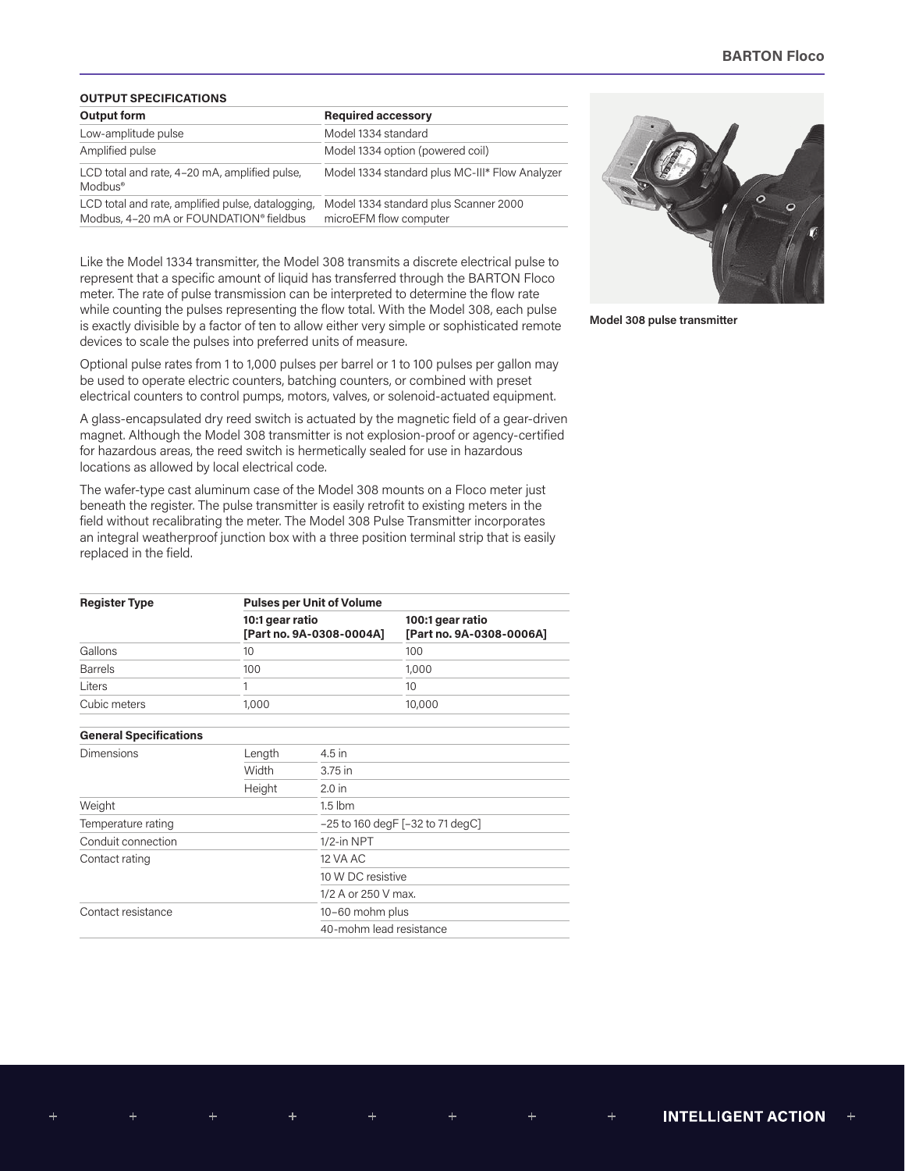## **OUTPUT SPECIFICATIONS**

| Output form                                                                                  | <b>Required accessory</b>                                       |  |  |
|----------------------------------------------------------------------------------------------|-----------------------------------------------------------------|--|--|
| Low-amplitude pulse                                                                          | Model 1334 standard                                             |  |  |
| Amplified pulse                                                                              | Model 1334 option (powered coil)                                |  |  |
| LCD total and rate, 4-20 mA, amplified pulse,<br>$Modbus^{\circ}$                            | Model 1334 standard plus MC-III* Flow Analyzer                  |  |  |
| LCD total and rate, amplified pulse, datalogging,<br>Modbus, 4-20 mA or FOUNDATION® fieldbus | Model 1334 standard plus Scanner 2000<br>microEFM flow computer |  |  |

Like the Model 1334 transmitter, the Model 308 transmits a discrete electrical pulse to represent that a specific amount of liquid has transferred through the BARTON Floco meter. The rate of pulse transmission can be interpreted to determine the flow rate while counting the pulses representing the flow total. With the Model 308, each pulse is exactly divisible by a factor of ten to allow either very simple or sophisticated remote devices to scale the pulses into preferred units of measure.

Optional pulse rates from 1 to 1,000 pulses per barrel or 1 to 100 pulses per gallon may be used to operate electric counters, batching counters, or combined with preset electrical counters to control pumps, motors, valves, or solenoid-actuated equipment.

A glass-encapsulated dry reed switch is actuated by the magnetic field of a gear-driven magnet. Although the Model 308 transmitter is not explosion-proof or agency-certified for hazardous areas, the reed switch is hermetically sealed for use in hazardous locations as allowed by local electrical code.

The wafer-type cast aluminum case of the Model 308 mounts on a Floco meter just beneath the register. The pulse transmitter is easily retrofit to existing meters in the field without recalibrating the meter. The Model 308 Pulse Transmitter incorporates an integral weatherproof junction box with a three position terminal strip that is easily replaced in the field.

| <b>Register Type</b>          | <b>Pulses per Unit of Volume</b>            |                                       |                                              |  |  |  |
|-------------------------------|---------------------------------------------|---------------------------------------|----------------------------------------------|--|--|--|
|                               | 10:1 gear ratio<br>[Part no. 9A-0308-0004A] |                                       | 100:1 gear ratio<br>[Part no. 9A-0308-0006A] |  |  |  |
| Gallons                       | 10                                          |                                       | 100                                          |  |  |  |
| <b>Barrels</b>                | 100                                         |                                       | 1,000                                        |  |  |  |
| Liters                        | 1                                           |                                       | 10                                           |  |  |  |
| Cubic meters                  | 1,000                                       |                                       | 10,000                                       |  |  |  |
| <b>General Specifications</b> |                                             |                                       |                                              |  |  |  |
| Dimensions                    | Length                                      | $4.5$ in                              |                                              |  |  |  |
|                               | Width                                       | 3.75 in                               |                                              |  |  |  |
|                               | Height                                      | $2.0$ in                              |                                              |  |  |  |
| Weight                        |                                             | $1.5$ lbm                             |                                              |  |  |  |
| Temperature rating            |                                             | $-25$ to 160 degF [ $-32$ to 71 degC] |                                              |  |  |  |
| Conduit connection            |                                             | 1/2-in NPT                            |                                              |  |  |  |
| Contact rating                |                                             | 12 VA AC                              |                                              |  |  |  |
|                               |                                             | 10 W DC resistive                     |                                              |  |  |  |
|                               |                                             | 1/2 A or 250 V max.                   |                                              |  |  |  |
| Contact resistance            |                                             | 10-60 mohm plus                       |                                              |  |  |  |
|                               |                                             | 40-mohm lead resistance               |                                              |  |  |  |



**Model 308 pulse transmitter**

 $^{+}$ 

 $\pm$ 

 $\pm$ 

 $\boldsymbol{+}$